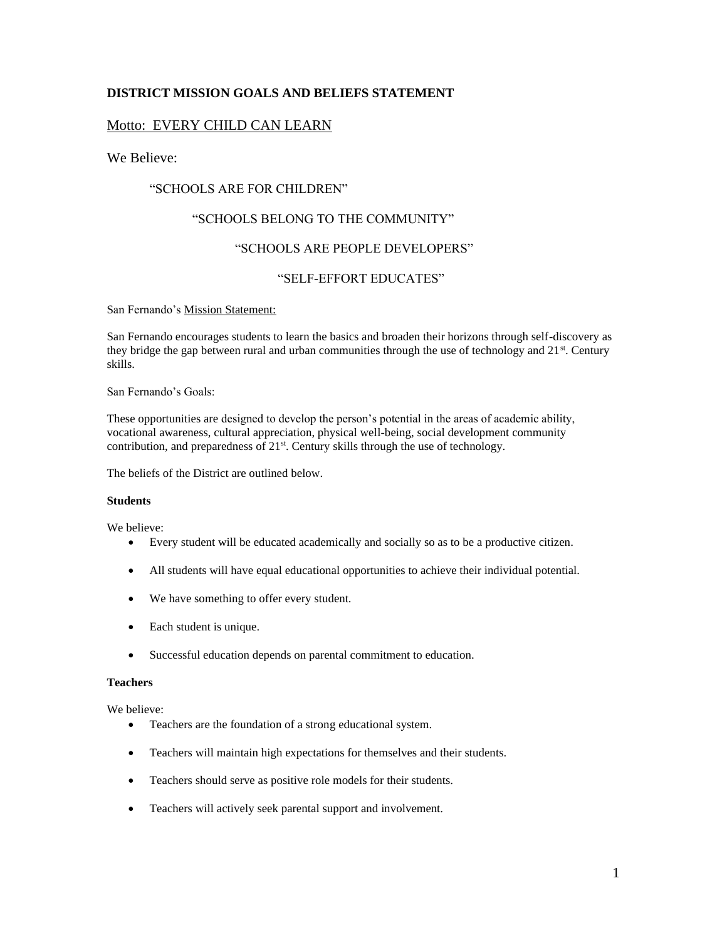### **DISTRICT MISSION GOALS AND BELIEFS STATEMENT**

#### Motto: EVERY CHILD CAN LEARN

We Believe:

#### "SCHOOLS ARE FOR CHILDREN"

#### "SCHOOLS BELONG TO THE COMMUNITY"

#### "SCHOOLS ARE PEOPLE DEVELOPERS"

#### "SELF-EFFORT EDUCATES"

San Fernando's Mission Statement:

San Fernando encourages students to learn the basics and broaden their horizons through self-discovery as they bridge the gap between rural and urban communities through the use of technology and  $21^{st}$ . Century skills.

San Fernando's Goals:

These opportunities are designed to develop the person's potential in the areas of academic ability, vocational awareness, cultural appreciation, physical well-being, social development community contribution, and preparedness of 21<sup>st</sup>. Century skills through the use of technology.

The beliefs of the District are outlined below.

#### **Students**

We believe:

- Every student will be educated academically and socially so as to be a productive citizen.
- All students will have equal educational opportunities to achieve their individual potential.
- We have something to offer every student.
- Each student is unique.
- Successful education depends on parental commitment to education.

#### **Teachers**

We believe:

- Teachers are the foundation of a strong educational system.
- Teachers will maintain high expectations for themselves and their students.
- Teachers should serve as positive role models for their students.
- Teachers will actively seek parental support and involvement.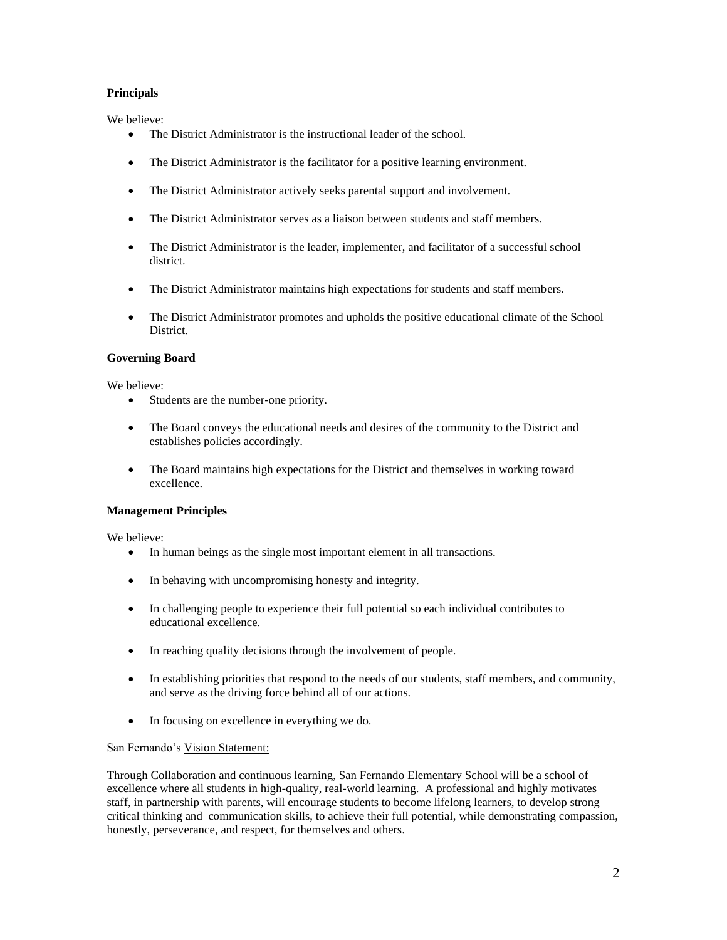#### **Principals**

We believe:

- The District Administrator is the instructional leader of the school.
- The District Administrator is the facilitator for a positive learning environment.
- The District Administrator actively seeks parental support and involvement.
- The District Administrator serves as a liaison between students and staff members.
- The District Administrator is the leader, implementer, and facilitator of a successful school district.
- The District Administrator maintains high expectations for students and staff members.
- The District Administrator promotes and upholds the positive educational climate of the School District.

#### **Governing Board**

We believe:

- Students are the number-one priority.
- The Board conveys the educational needs and desires of the community to the District and establishes policies accordingly.
- The Board maintains high expectations for the District and themselves in working toward excellence.

#### **Management Principles**

We believe:

- In human beings as the single most important element in all transactions.
- In behaving with uncompromising honesty and integrity.
- In challenging people to experience their full potential so each individual contributes to educational excellence.
- In reaching quality decisions through the involvement of people.
- In establishing priorities that respond to the needs of our students, staff members, and community, and serve as the driving force behind all of our actions.
- In focusing on excellence in everything we do.

#### San Fernando's Vision Statement:

Through Collaboration and continuous learning, San Fernando Elementary School will be a school of excellence where all students in high-quality, real-world learning. A professional and highly motivates staff, in partnership with parents, will encourage students to become lifelong learners, to develop strong critical thinking and communication skills, to achieve their full potential, while demonstrating compassion, honestly, perseverance, and respect, for themselves and others.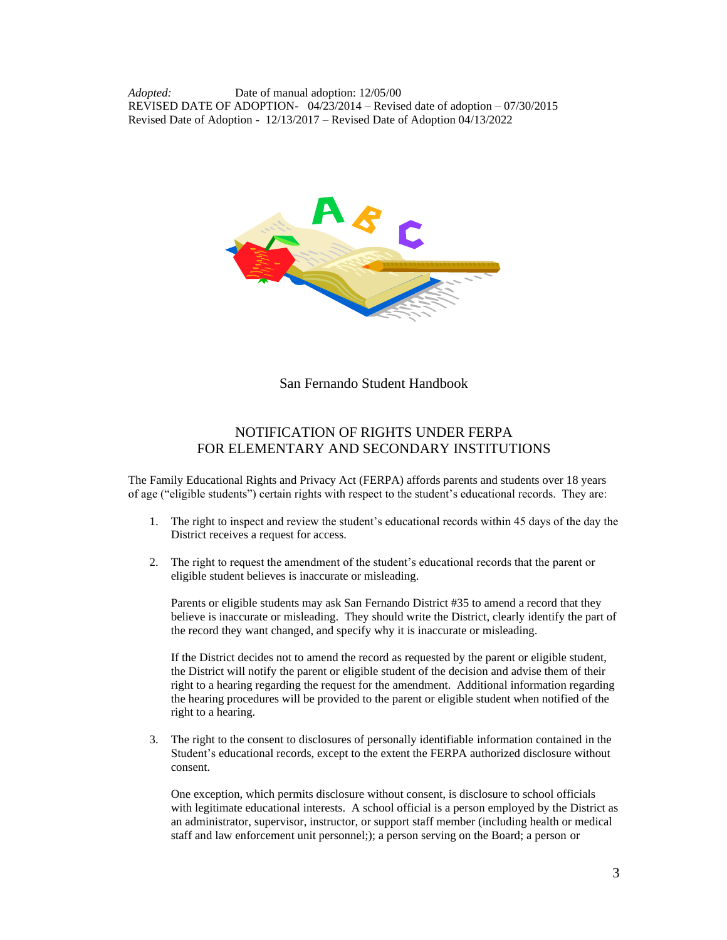*Adopted:* Date of manual adoption: 12/05/00 REVISED DATE OF ADOPTION- 04/23/2014 – Revised date of adoption – 07/30/2015 Revised Date of Adoption - 12/13/2017 – Revised Date of Adoption 04/13/2022



San Fernando Student Handbook

# NOTIFICATION OF RIGHTS UNDER FERPA FOR ELEMENTARY AND SECONDARY INSTITUTIONS

The Family Educational Rights and Privacy Act (FERPA) affords parents and students over 18 years of age ("eligible students") certain rights with respect to the student's educational records. They are:

- 1. The right to inspect and review the student's educational records within 45 days of the day the District receives a request for access.
- 2. The right to request the amendment of the student's educational records that the parent or eligible student believes is inaccurate or misleading.

Parents or eligible students may ask San Fernando District #35 to amend a record that they believe is inaccurate or misleading. They should write the District, clearly identify the part of the record they want changed, and specify why it is inaccurate or misleading.

If the District decides not to amend the record as requested by the parent or eligible student, the District will notify the parent or eligible student of the decision and advise them of their right to a hearing regarding the request for the amendment. Additional information regarding the hearing procedures will be provided to the parent or eligible student when notified of the right to a hearing.

3. The right to the consent to disclosures of personally identifiable information contained in the Student's educational records, except to the extent the FERPA authorized disclosure without consent.

One exception, which permits disclosure without consent, is disclosure to school officials with legitimate educational interests. A school official is a person employed by the District as an administrator, supervisor, instructor, or support staff member (including health or medical staff and law enforcement unit personnel;); a person serving on the Board; a person or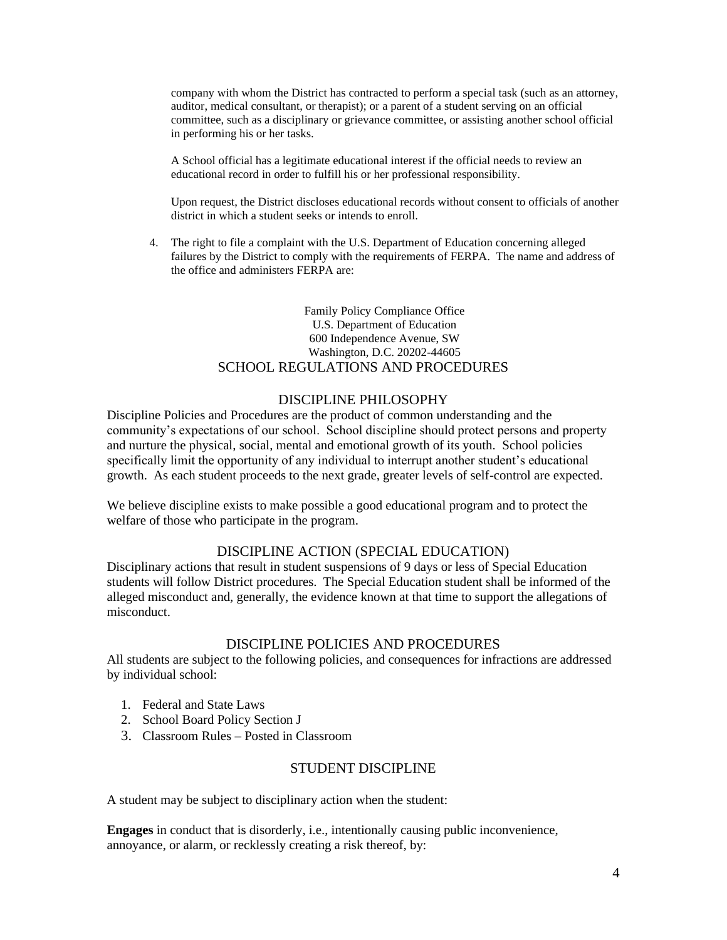company with whom the District has contracted to perform a special task (such as an attorney, auditor, medical consultant, or therapist); or a parent of a student serving on an official committee, such as a disciplinary or grievance committee, or assisting another school official in performing his or her tasks.

A School official has a legitimate educational interest if the official needs to review an educational record in order to fulfill his or her professional responsibility.

Upon request, the District discloses educational records without consent to officials of another district in which a student seeks or intends to enroll.

4. The right to file a complaint with the U.S. Department of Education concerning alleged failures by the District to comply with the requirements of FERPA. The name and address of the office and administers FERPA are:

#### Family Policy Compliance Office U.S. Department of Education 600 Independence Avenue, SW Washington, D.C. 20202-44605 SCHOOL REGULATIONS AND PROCEDURES

### DISCIPLINE PHILOSOPHY

Discipline Policies and Procedures are the product of common understanding and the community's expectations of our school. School discipline should protect persons and property and nurture the physical, social, mental and emotional growth of its youth. School policies specifically limit the opportunity of any individual to interrupt another student's educational growth. As each student proceeds to the next grade, greater levels of self-control are expected.

We believe discipline exists to make possible a good educational program and to protect the welfare of those who participate in the program.

# DISCIPLINE ACTION (SPECIAL EDUCATION)

Disciplinary actions that result in student suspensions of 9 days or less of Special Education students will follow District procedures. The Special Education student shall be informed of the alleged misconduct and, generally, the evidence known at that time to support the allegations of misconduct.

### DISCIPLINE POLICIES AND PROCEDURES

All students are subject to the following policies, and consequences for infractions are addressed by individual school:

- 1. Federal and State Laws
- 2. School Board Policy Section J
- 3. Classroom Rules Posted in Classroom

### STUDENT DISCIPLINE

A student may be subject to disciplinary action when the student:

**Engages** in conduct that is disorderly, i.e., intentionally causing public inconvenience, annoyance, or alarm, or recklessly creating a risk thereof, by: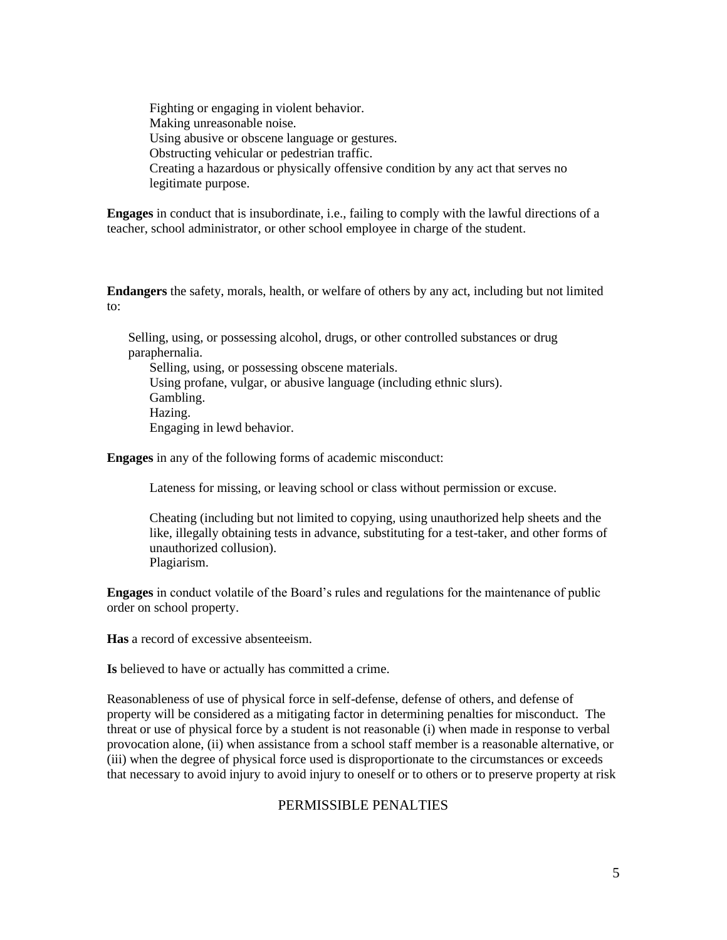Fighting or engaging in violent behavior. Making unreasonable noise. Using abusive or obscene language or gestures. Obstructing vehicular or pedestrian traffic. Creating a hazardous or physically offensive condition by any act that serves no legitimate purpose.

**Engages** in conduct that is insubordinate, i.e., failing to comply with the lawful directions of a teacher, school administrator, or other school employee in charge of the student.

**Endangers** the safety, morals, health, or welfare of others by any act, including but not limited to:

Selling, using, or possessing alcohol, drugs, or other controlled substances or drug paraphernalia.

Selling, using, or possessing obscene materials. Using profane, vulgar, or abusive language (including ethnic slurs). Gambling. Hazing. Engaging in lewd behavior.

**Engages** in any of the following forms of academic misconduct:

Lateness for missing, or leaving school or class without permission or excuse.

Cheating (including but not limited to copying, using unauthorized help sheets and the like, illegally obtaining tests in advance, substituting for a test-taker, and other forms of unauthorized collusion). Plagiarism.

**Engages** in conduct volatile of the Board's rules and regulations for the maintenance of public order on school property.

**Has** a record of excessive absenteeism.

**Is** believed to have or actually has committed a crime.

Reasonableness of use of physical force in self-defense, defense of others, and defense of property will be considered as a mitigating factor in determining penalties for misconduct. The threat or use of physical force by a student is not reasonable (i) when made in response to verbal provocation alone, (ii) when assistance from a school staff member is a reasonable alternative, or (iii) when the degree of physical force used is disproportionate to the circumstances or exceeds that necessary to avoid injury to avoid injury to oneself or to others or to preserve property at risk

#### PERMISSIBLE PENALTIES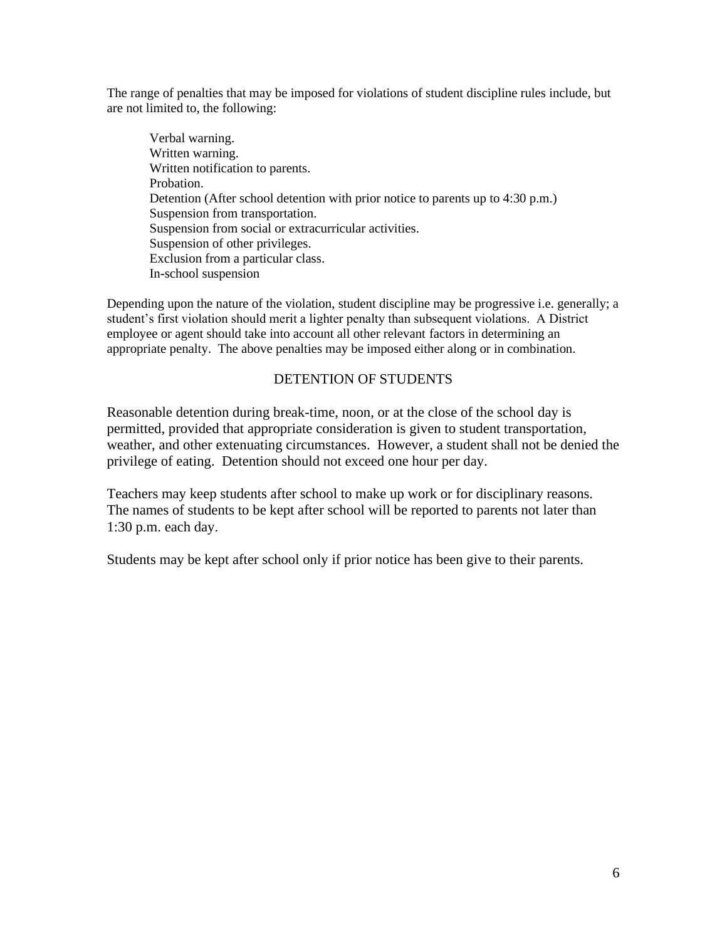The range of penalties that may be imposed for violations of student discipline rules include, but are not limited to, the following:

Verbal warning. Written warning. Written notification to parents. Probation. Detention (After school detention with prior notice to parents up to 4:30 p.m.) Suspension from transportation. Suspension from social or extracurricular activities. Suspension of other privileges. Exclusion from a particular class. In-school suspension

Depending upon the nature of the violation, student discipline may be progressive i.e. generally; a student's first violation should merit a lighter penalty than subsequent violations. A District employee or agent should take into account all other relevant factors in determining an appropriate penalty. The above penalties may be imposed either along or in combination.

# DETENTION OF STUDENTS

Reasonable detention during break-time, noon, or at the close of the school day is permitted, provided that appropriate consideration is given to student transportation, weather, and other extenuating circumstances. However, a student shall not be denied the privilege of eating. Detention should not exceed one hour per day.

Teachers may keep students after school to make up work or for disciplinary reasons. The names of students to be kept after school will be reported to parents not later than 1:30 p.m. each day.

Students may be kept after school only if prior notice has been give to their parents.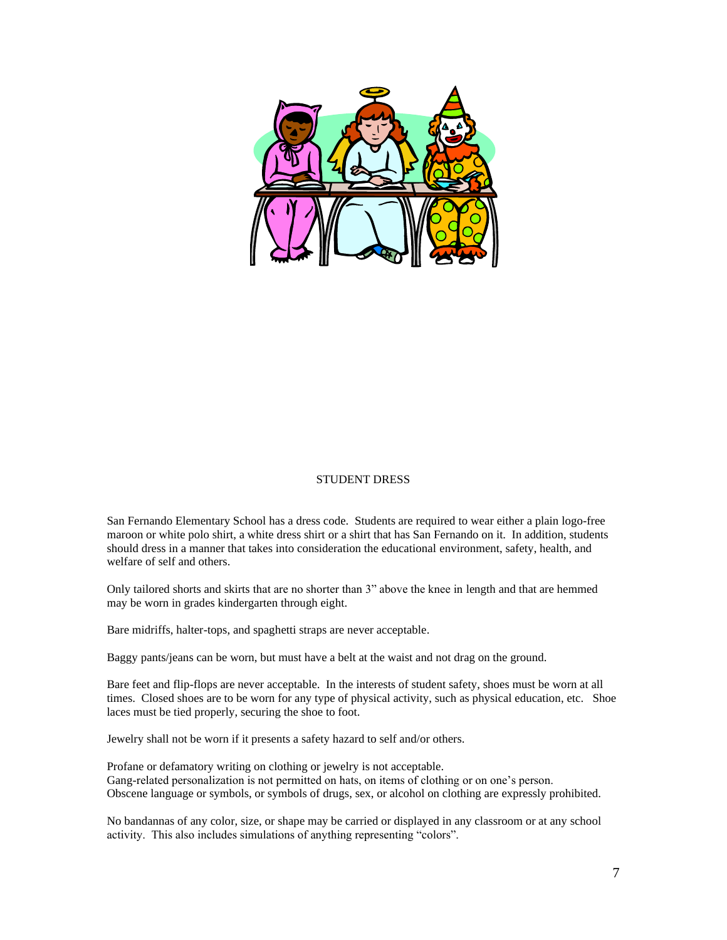

#### STUDENT DRESS

San Fernando Elementary School has a dress code. Students are required to wear either a plain logo-free maroon or white polo shirt, a white dress shirt or a shirt that has San Fernando on it. In addition, students should dress in a manner that takes into consideration the educational environment, safety, health, and welfare of self and others.

Only tailored shorts and skirts that are no shorter than 3" above the knee in length and that are hemmed may be worn in grades kindergarten through eight.

Bare midriffs, halter-tops, and spaghetti straps are never acceptable.

Baggy pants/jeans can be worn, but must have a belt at the waist and not drag on the ground.

Bare feet and flip-flops are never acceptable. In the interests of student safety, shoes must be worn at all times. Closed shoes are to be worn for any type of physical activity, such as physical education, etc. Shoe laces must be tied properly, securing the shoe to foot.

Jewelry shall not be worn if it presents a safety hazard to self and/or others.

Profane or defamatory writing on clothing or jewelry is not acceptable. Gang-related personalization is not permitted on hats, on items of clothing or on one's person. Obscene language or symbols, or symbols of drugs, sex, or alcohol on clothing are expressly prohibited.

No bandannas of any color, size, or shape may be carried or displayed in any classroom or at any school activity. This also includes simulations of anything representing "colors".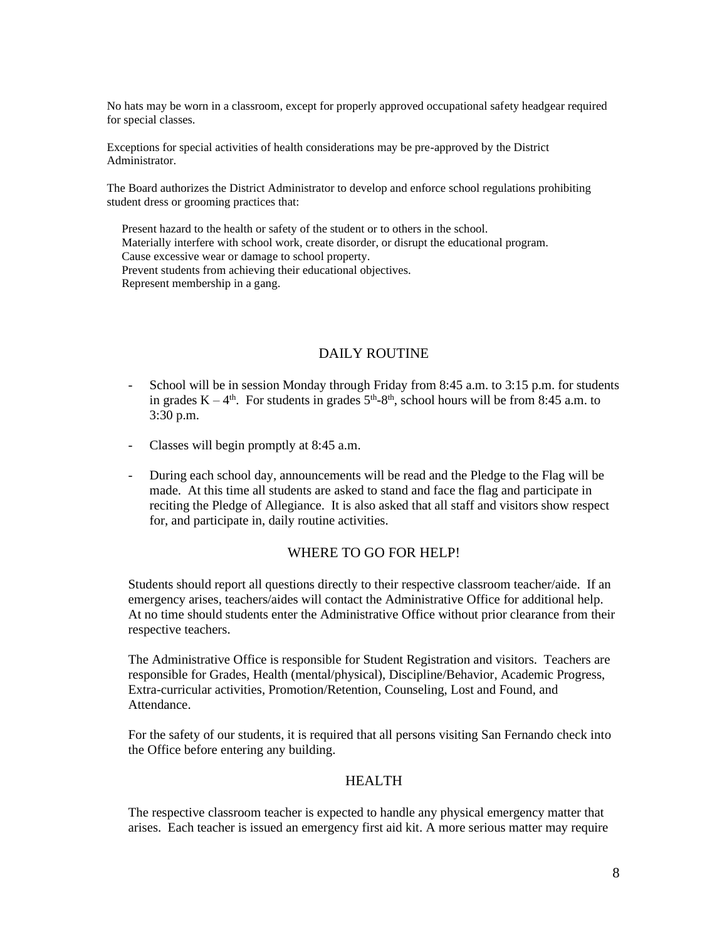No hats may be worn in a classroom, except for properly approved occupational safety headgear required for special classes.

Exceptions for special activities of health considerations may be pre-approved by the District Administrator.

The Board authorizes the District Administrator to develop and enforce school regulations prohibiting student dress or grooming practices that:

 Present hazard to the health or safety of the student or to others in the school. Materially interfere with school work, create disorder, or disrupt the educational program. Cause excessive wear or damage to school property. Prevent students from achieving their educational objectives. Represent membership in a gang.

## DAILY ROUTINE

- School will be in session Monday through Friday from 8:45 a.m. to 3:15 p.m. for students in grades  $K - 4<sup>th</sup>$ . For students in grades  $5<sup>th</sup>-8<sup>th</sup>$ , school hours will be from 8:45 a.m. to 3:30 p.m.
- Classes will begin promptly at 8:45 a.m.
- During each school day, announcements will be read and the Pledge to the Flag will be made. At this time all students are asked to stand and face the flag and participate in reciting the Pledge of Allegiance. It is also asked that all staff and visitors show respect for, and participate in, daily routine activities.

### WHERE TO GO FOR HELP!

Students should report all questions directly to their respective classroom teacher/aide. If an emergency arises, teachers/aides will contact the Administrative Office for additional help. At no time should students enter the Administrative Office without prior clearance from their respective teachers.

The Administrative Office is responsible for Student Registration and visitors. Teachers are responsible for Grades, Health (mental/physical), Discipline/Behavior, Academic Progress, Extra-curricular activities, Promotion/Retention, Counseling, Lost and Found, and Attendance.

For the safety of our students, it is required that all persons visiting San Fernando check into the Office before entering any building.

### HEALTH

The respective classroom teacher is expected to handle any physical emergency matter that arises. Each teacher is issued an emergency first aid kit. A more serious matter may require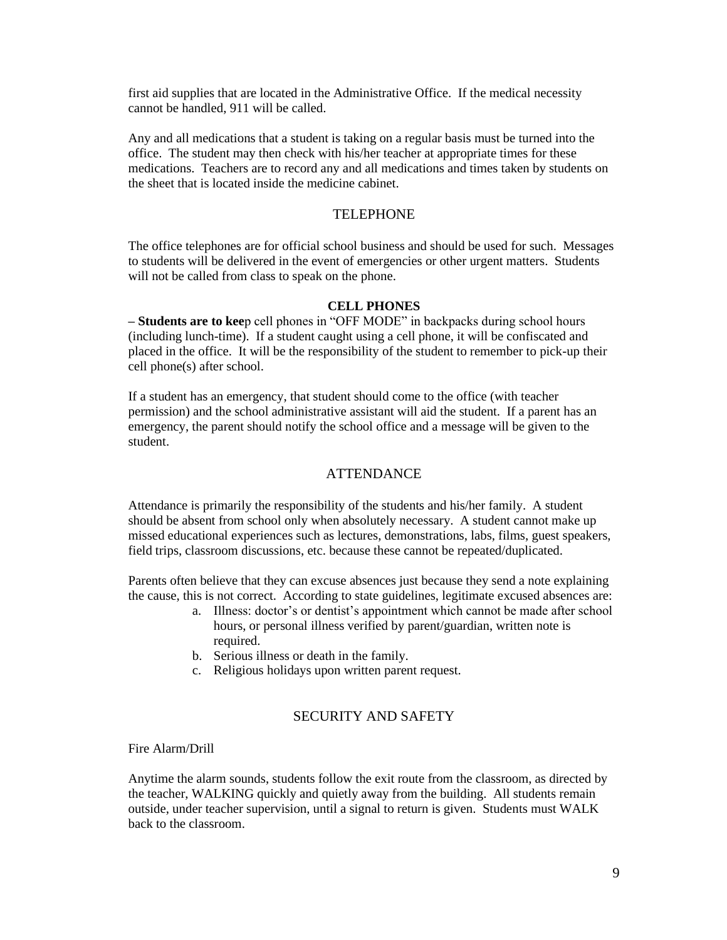first aid supplies that are located in the Administrative Office. If the medical necessity cannot be handled, 911 will be called.

Any and all medications that a student is taking on a regular basis must be turned into the office. The student may then check with his/her teacher at appropriate times for these medications. Teachers are to record any and all medications and times taken by students on the sheet that is located inside the medicine cabinet.

#### TELEPHONE

The office telephones are for official school business and should be used for such. Messages to students will be delivered in the event of emergencies or other urgent matters. Students will not be called from class to speak on the phone.

#### **CELL PHONES**

**– Students are to kee**p cell phones in "OFF MODE" in backpacks during school hours (including lunch-time). If a student caught using a cell phone, it will be confiscated and placed in the office. It will be the responsibility of the student to remember to pick-up their cell phone(s) after school.

If a student has an emergency, that student should come to the office (with teacher permission) and the school administrative assistant will aid the student. If a parent has an emergency, the parent should notify the school office and a message will be given to the student.

#### ATTENDANCE

Attendance is primarily the responsibility of the students and his/her family. A student should be absent from school only when absolutely necessary. A student cannot make up missed educational experiences such as lectures, demonstrations, labs, films, guest speakers, field trips, classroom discussions, etc. because these cannot be repeated/duplicated.

Parents often believe that they can excuse absences just because they send a note explaining the cause, this is not correct. According to state guidelines, legitimate excused absences are:

- a. Illness: doctor's or dentist's appointment which cannot be made after school hours, or personal illness verified by parent/guardian, written note is required.
- b. Serious illness or death in the family.
- c. Religious holidays upon written parent request.

### SECURITY AND SAFETY

Fire Alarm/Drill

Anytime the alarm sounds, students follow the exit route from the classroom, as directed by the teacher, WALKING quickly and quietly away from the building. All students remain outside, under teacher supervision, until a signal to return is given. Students must WALK back to the classroom.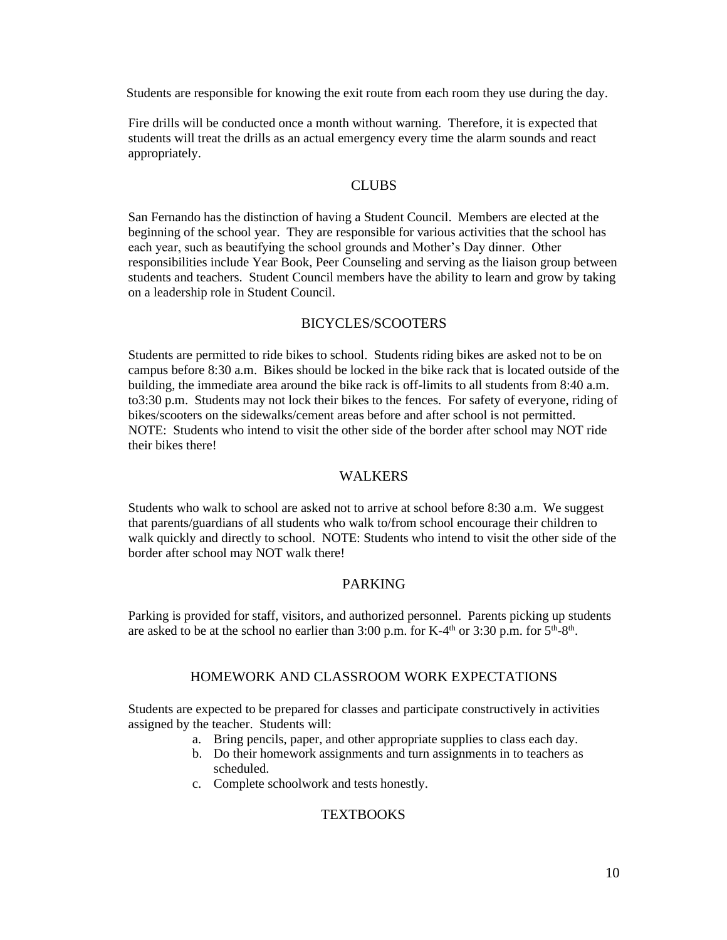Students are responsible for knowing the exit route from each room they use during the day.

Fire drills will be conducted once a month without warning. Therefore, it is expected that students will treat the drills as an actual emergency every time the alarm sounds and react appropriately.

### **CLUBS**

San Fernando has the distinction of having a Student Council. Members are elected at the beginning of the school year. They are responsible for various activities that the school has each year, such as beautifying the school grounds and Mother's Day dinner. Other responsibilities include Year Book, Peer Counseling and serving as the liaison group between students and teachers. Student Council members have the ability to learn and grow by taking on a leadership role in Student Council.

### BICYCLES/SCOOTERS

Students are permitted to ride bikes to school. Students riding bikes are asked not to be on campus before 8:30 a.m. Bikes should be locked in the bike rack that is located outside of the building, the immediate area around the bike rack is off-limits to all students from 8:40 a.m. to3:30 p.m. Students may not lock their bikes to the fences. For safety of everyone, riding of bikes/scooters on the sidewalks/cement areas before and after school is not permitted. NOTE: Students who intend to visit the other side of the border after school may NOT ride their bikes there!

### WALKERS

Students who walk to school are asked not to arrive at school before 8:30 a.m. We suggest that parents/guardians of all students who walk to/from school encourage their children to walk quickly and directly to school. NOTE: Students who intend to visit the other side of the border after school may NOT walk there!

### PARKING

Parking is provided for staff, visitors, and authorized personnel. Parents picking up students are asked to be at the school no earlier than  $3:00$  p.m. for K-4<sup>th</sup> or  $3:30$  p.m. for  $5<sup>th</sup>$ -8<sup>th</sup>.

#### HOMEWORK AND CLASSROOM WORK EXPECTATIONS

Students are expected to be prepared for classes and participate constructively in activities assigned by the teacher. Students will:

- a. Bring pencils, paper, and other appropriate supplies to class each day.
- b. Do their homework assignments and turn assignments in to teachers as scheduled.
- c. Complete schoolwork and tests honestly.

### **TEXTBOOKS**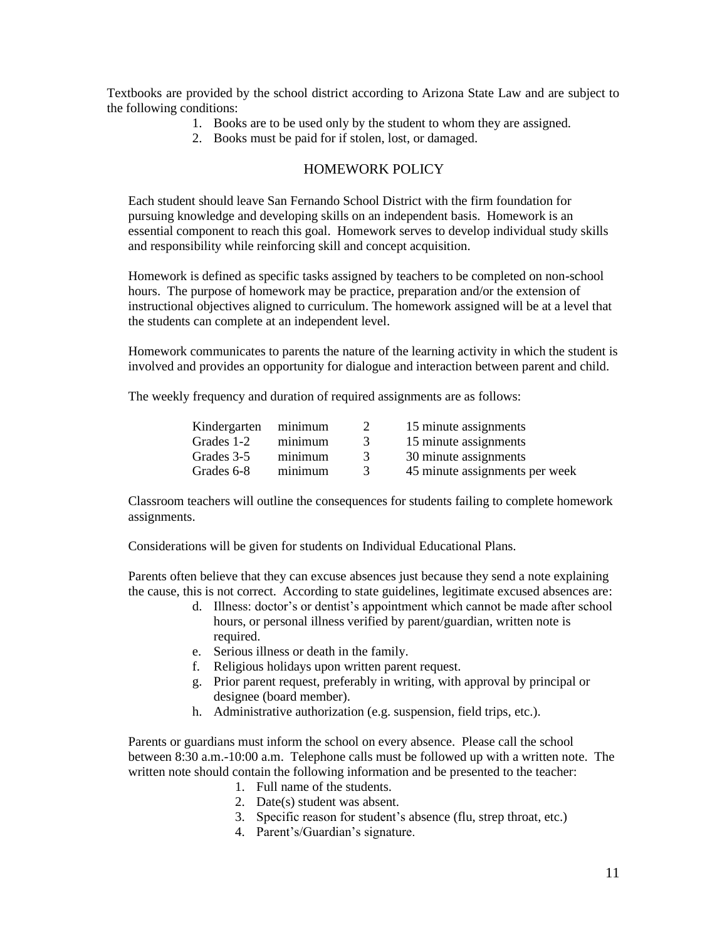Textbooks are provided by the school district according to Arizona State Law and are subject to the following conditions:

- 1. Books are to be used only by the student to whom they are assigned.
- 2. Books must be paid for if stolen, lost, or damaged.

# HOMEWORK POLICY

Each student should leave San Fernando School District with the firm foundation for pursuing knowledge and developing skills on an independent basis. Homework is an essential component to reach this goal. Homework serves to develop individual study skills and responsibility while reinforcing skill and concept acquisition.

Homework is defined as specific tasks assigned by teachers to be completed on non-school hours. The purpose of homework may be practice, preparation and/or the extension of instructional objectives aligned to curriculum. The homework assigned will be at a level that the students can complete at an independent level.

Homework communicates to parents the nature of the learning activity in which the student is involved and provides an opportunity for dialogue and interaction between parent and child.

The weekly frequency and duration of required assignments are as follows:

| Kindergarten minimum |         |               | 15 minute assignments          |
|----------------------|---------|---------------|--------------------------------|
| Grades 1-2           | minimum | $\mathcal{R}$ | 15 minute assignments          |
| Grades 3-5           | minimum | $\mathcal{R}$ | 30 minute assignments          |
| Grades 6-8           | minimum |               | 45 minute assignments per week |

Classroom teachers will outline the consequences for students failing to complete homework assignments.

Considerations will be given for students on Individual Educational Plans.

Parents often believe that they can excuse absences just because they send a note explaining the cause, this is not correct. According to state guidelines, legitimate excused absences are:

- d. Illness: doctor's or dentist's appointment which cannot be made after school hours, or personal illness verified by parent/guardian, written note is required.
- e. Serious illness or death in the family.
- f. Religious holidays upon written parent request.
- g. Prior parent request, preferably in writing, with approval by principal or designee (board member).
- h. Administrative authorization (e.g. suspension, field trips, etc.).

Parents or guardians must inform the school on every absence. Please call the school between 8:30 a.m.-10:00 a.m. Telephone calls must be followed up with a written note. The written note should contain the following information and be presented to the teacher:

- 1. Full name of the students.
- 2. Date(s) student was absent.
- 3. Specific reason for student's absence (flu, strep throat, etc.)
- 4. Parent's/Guardian's signature.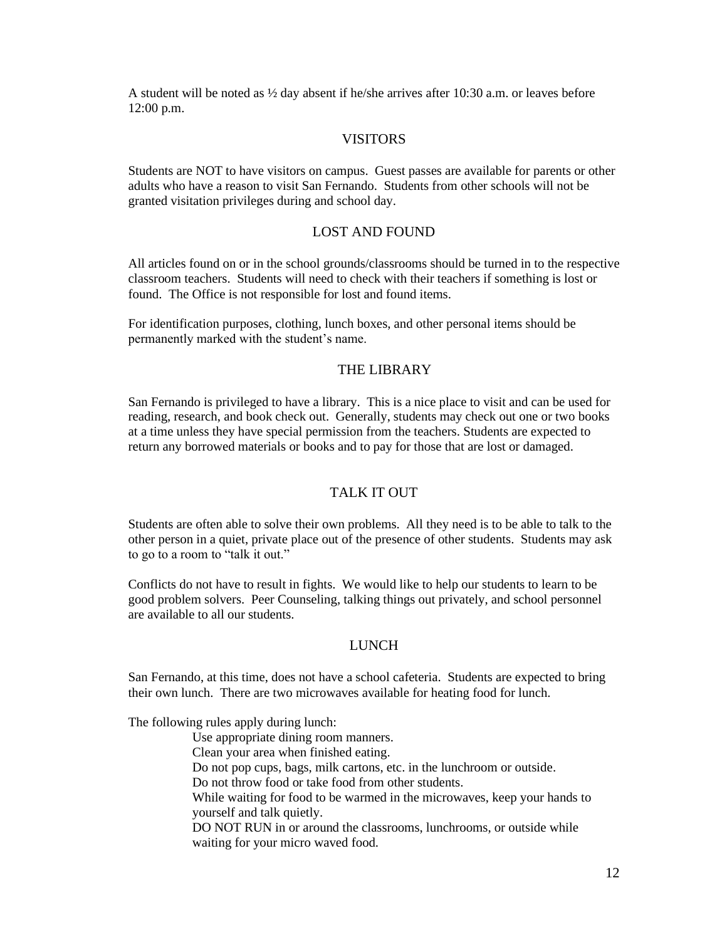A student will be noted as  $\frac{1}{2}$  day absent if he/she arrives after 10:30 a.m. or leaves before 12:00 p.m.

### VISITORS

Students are NOT to have visitors on campus. Guest passes are available for parents or other adults who have a reason to visit San Fernando. Students from other schools will not be granted visitation privileges during and school day.

#### LOST AND FOUND

All articles found on or in the school grounds/classrooms should be turned in to the respective classroom teachers. Students will need to check with their teachers if something is lost or found. The Office is not responsible for lost and found items.

For identification purposes, clothing, lunch boxes, and other personal items should be permanently marked with the student's name.

#### THE LIBRARY

San Fernando is privileged to have a library. This is a nice place to visit and can be used for reading, research, and book check out. Generally, students may check out one or two books at a time unless they have special permission from the teachers. Students are expected to return any borrowed materials or books and to pay for those that are lost or damaged.

### TALK IT OUT

Students are often able to solve their own problems. All they need is to be able to talk to the other person in a quiet, private place out of the presence of other students. Students may ask to go to a room to "talk it out."

Conflicts do not have to result in fights. We would like to help our students to learn to be good problem solvers. Peer Counseling, talking things out privately, and school personnel are available to all our students.

### LUNCH

San Fernando, at this time, does not have a school cafeteria. Students are expected to bring their own lunch. There are two microwaves available for heating food for lunch.

The following rules apply during lunch:

Use appropriate dining room manners. Clean your area when finished eating. Do not pop cups, bags, milk cartons, etc. in the lunchroom or outside.

Do not throw food or take food from other students.

While waiting for food to be warmed in the microwaves, keep your hands to yourself and talk quietly.

DO NOT RUN in or around the classrooms, lunchrooms, or outside while waiting for your micro waved food.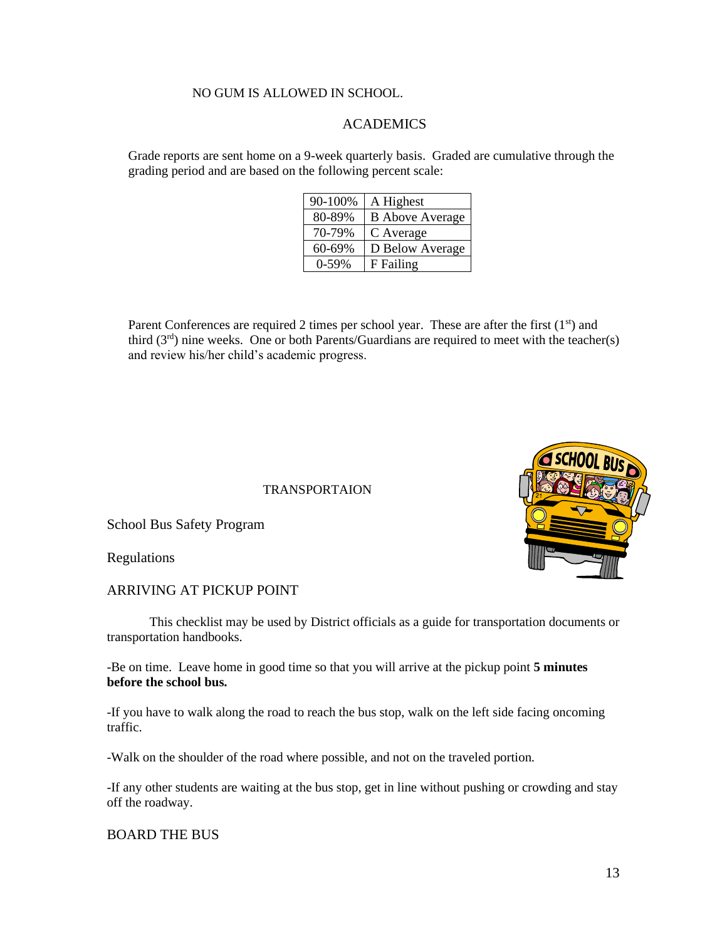### NO GUM IS ALLOWED IN SCHOOL.

## ACADEMICS

Grade reports are sent home on a 9-week quarterly basis. Graded are cumulative through the grading period and are based on the following percent scale:

| 90-100% | A Highest              |
|---------|------------------------|
| 80-89%  | <b>B</b> Above Average |
| 70-79%  | C Average              |
| 60-69%  | D Below Average        |
| $0-59%$ | F Failing              |

Parent Conferences are required 2 times per school year. These are after the first (1st) and third (3rd) nine weeks. One or both Parents/Guardians are required to meet with the teacher(s) and review his/her child's academic progress.

TRANSPORTAION

School Bus Safety Program

Regulations

### ARRIVING AT PICKUP POINT

This checklist may be used by District officials as a guide for transportation documents or transportation handbooks.

-Be on time. Leave home in good time so that you will arrive at the pickup point **5 minutes before the school bus.**

-If you have to walk along the road to reach the bus stop, walk on the left side facing oncoming traffic.

-Walk on the shoulder of the road where possible, and not on the traveled portion.

-If any other students are waiting at the bus stop, get in line without pushing or crowding and stay off the roadway.

#### BOARD THE BUS

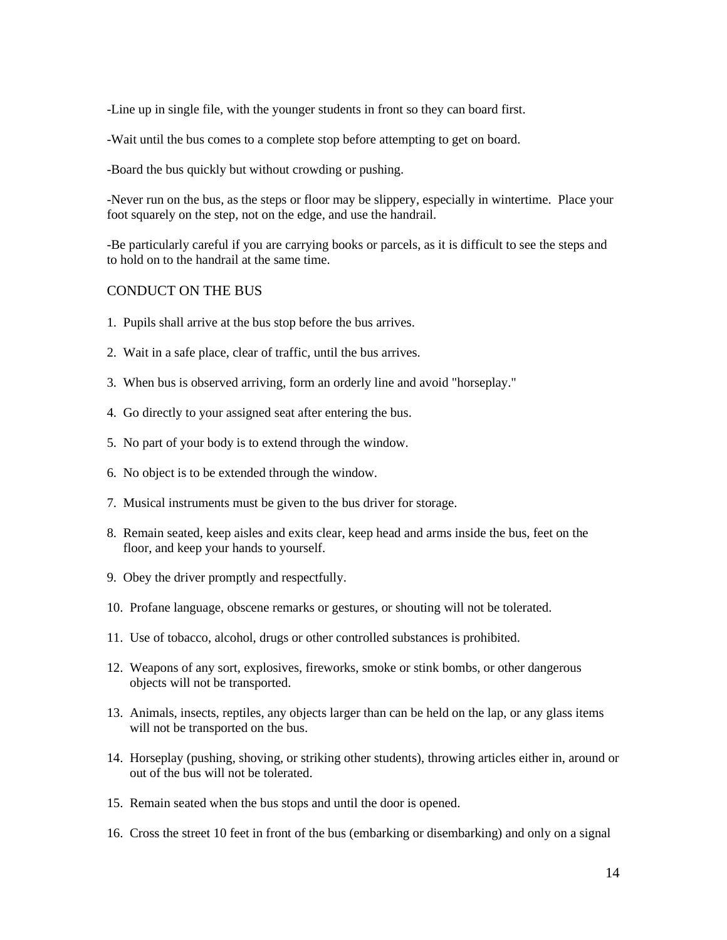-Line up in single file, with the younger students in front so they can board first.

-Wait until the bus comes to a complete stop before attempting to get on board.

-Board the bus quickly but without crowding or pushing.

-Never run on the bus, as the steps or floor may be slippery, especially in wintertime. Place your foot squarely on the step, not on the edge, and use the handrail.

-Be particularly careful if you are carrying books or parcels, as it is difficult to see the steps and to hold on to the handrail at the same time.

# CONDUCT ON THE BUS

- 1. Pupils shall arrive at the bus stop before the bus arrives.
- 2. Wait in a safe place, clear of traffic, until the bus arrives.
- 3. When bus is observed arriving, form an orderly line and avoid "horseplay."
- 4. Go directly to your assigned seat after entering the bus.
- 5. No part of your body is to extend through the window.
- 6. No object is to be extended through the window.
- 7. Musical instruments must be given to the bus driver for storage.
- 8. Remain seated, keep aisles and exits clear, keep head and arms inside the bus, feet on the floor, and keep your hands to yourself.
- 9. Obey the driver promptly and respectfully.
- 10. Profane language, obscene remarks or gestures, or shouting will not be tolerated.
- 11. Use of tobacco, alcohol, drugs or other controlled substances is prohibited.
- 12. Weapons of any sort, explosives, fireworks, smoke or stink bombs, or other dangerous objects will not be transported.
- 13. Animals, insects, reptiles, any objects larger than can be held on the lap, or any glass items will not be transported on the bus.
- 14. Horseplay (pushing, shoving, or striking other students), throwing articles either in, around or out of the bus will not be tolerated.
- 15. Remain seated when the bus stops and until the door is opened.
- 16. Cross the street 10 feet in front of the bus (embarking or disembarking) and only on a signal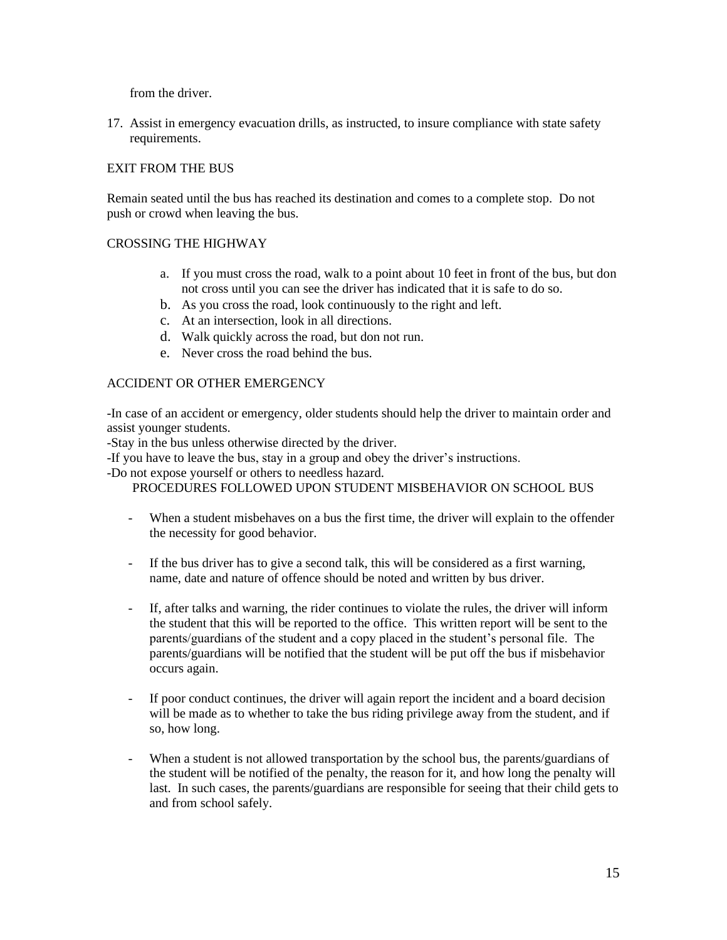from the driver.

17. Assist in emergency evacuation drills, as instructed, to insure compliance with state safety requirements.

## EXIT FROM THE BUS

Remain seated until the bus has reached its destination and comes to a complete stop. Do not push or crowd when leaving the bus.

### CROSSING THE HIGHWAY

- a. If you must cross the road, walk to a point about 10 feet in front of the bus, but don not cross until you can see the driver has indicated that it is safe to do so.
- b. As you cross the road, look continuously to the right and left.
- c. At an intersection, look in all directions.
- d. Walk quickly across the road, but don not run.
- e. Never cross the road behind the bus.

### ACCIDENT OR OTHER EMERGENCY

-In case of an accident or emergency, older students should help the driver to maintain order and assist younger students.

-Stay in the bus unless otherwise directed by the driver.

-If you have to leave the bus, stay in a group and obey the driver's instructions.

-Do not expose yourself or others to needless hazard.

PROCEDURES FOLLOWED UPON STUDENT MISBEHAVIOR ON SCHOOL BUS

- When a student misbehaves on a bus the first time, the driver will explain to the offender the necessity for good behavior.
- If the bus driver has to give a second talk, this will be considered as a first warning, name, date and nature of offence should be noted and written by bus driver.
- If, after talks and warning, the rider continues to violate the rules, the driver will inform the student that this will be reported to the office. This written report will be sent to the parents/guardians of the student and a copy placed in the student's personal file. The parents/guardians will be notified that the student will be put off the bus if misbehavior occurs again.
- If poor conduct continues, the driver will again report the incident and a board decision will be made as to whether to take the bus riding privilege away from the student, and if so, how long.
- When a student is not allowed transportation by the school bus, the parents/guardians of the student will be notified of the penalty, the reason for it, and how long the penalty will last. In such cases, the parents/guardians are responsible for seeing that their child gets to and from school safely.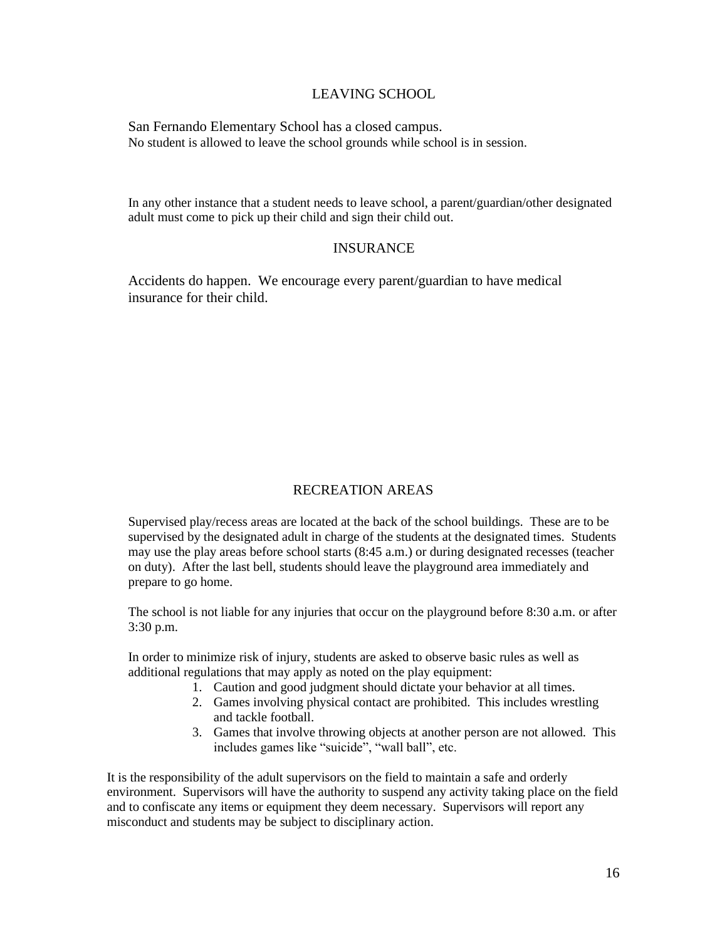## LEAVING SCHOOL

San Fernando Elementary School has a closed campus. No student is allowed to leave the school grounds while school is in session.

In any other instance that a student needs to leave school, a parent/guardian/other designated adult must come to pick up their child and sign their child out.

### INSURANCE

Accidents do happen. We encourage every parent/guardian to have medical insurance for their child.

# RECREATION AREAS

Supervised play/recess areas are located at the back of the school buildings. These are to be supervised by the designated adult in charge of the students at the designated times. Students may use the play areas before school starts (8:45 a.m.) or during designated recesses (teacher on duty). After the last bell, students should leave the playground area immediately and prepare to go home.

The school is not liable for any injuries that occur on the playground before 8:30 a.m. or after 3:30 p.m.

In order to minimize risk of injury, students are asked to observe basic rules as well as additional regulations that may apply as noted on the play equipment:

- 1. Caution and good judgment should dictate your behavior at all times.
- 2. Games involving physical contact are prohibited. This includes wrestling and tackle football.
- 3. Games that involve throwing objects at another person are not allowed. This includes games like "suicide", "wall ball", etc.

It is the responsibility of the adult supervisors on the field to maintain a safe and orderly environment. Supervisors will have the authority to suspend any activity taking place on the field and to confiscate any items or equipment they deem necessary. Supervisors will report any misconduct and students may be subject to disciplinary action.